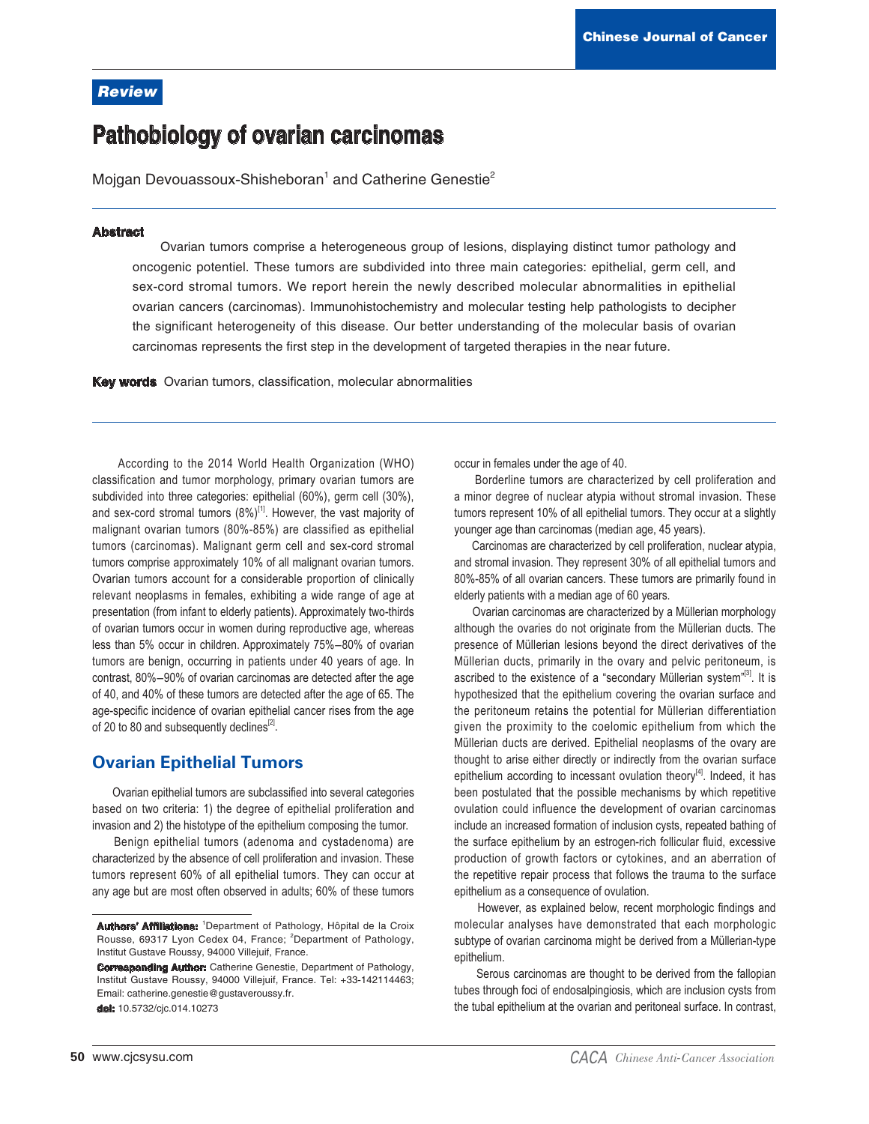# **Review**

# **Pathobiology of ovarian carcinomas**

Mojgan Devouassoux-Shisheboran<sup>1</sup> and Catherine Genestie<sup>2</sup>

#### **Abstract**

Ovarian tumors comprise a heterogeneous group of lesions, displaying distinct tumor pathology and oncogenic potentiel. These tumors are subdivided into three main categories: epithelial, germ cell, and sex-cord stromal tumors. We report herein the newly described molecular abnormalities in epithelial ovarian cancers (carcinomas). Immunohistochemistry and molecular testing help pathologists to decipher the significant heterogeneity of this disease. Our better understanding of the molecular basis of ovarian carcinomas represents the first step in the development of targeted therapies in the near future.

Key words Ovarian tumors, classification, molecular abnormalities

According to the 2014 World Health Organization (WHO) classification and tumor morphology, primary ovarian tumors are subdivided into three categories: epithelial (60%), germ cell (30%), and sex-cord stromal tumors  $(8\%)^{[1]}$ . However, the vast majority of malignant ovarian tumors (80%-85%) are classified as epithelial tumors (carcinomas). Malignant germ cell and sex-cord stromal tumors comprise approximately 10% of all malignant ovarian tumors. Ovarian tumors account for a considerable proportion of clinically relevant neoplasms in females, exhibiting a wide range of age at presentation (from infant to elderly patients). Approximately two-thirds of ovarian tumors occur in women during reproductive age, whereas less than 5% occur in children. Approximately 75%-80% of ovarian tumors are benign, occurring in patients under 40 years of age. In contrast, 80%-90% of ovarian carcinomas are detected after the age of 40, and 40% of these tumors are detected after the age of 65. The age-specific incidence of ovarian epithelial cancer rises from the age of 20 to 80 and subsequently declines<sup>[2]</sup>.

# **Ovarian Epithelial Tumors**

Ovarian epithelial tumors are subclassified into several categories based on two criteria: 1) the degree of epithelial proliferation and invasion and 2) the histotype of the epithelium composing the tumor.

Benign epithelial tumors (adenoma and cystadenoma) are characterized by the absence of cell proliferation and invasion. These tumors represent 60% of all epithelial tumors. They can occur at any age but are most often observed in adults; 60% of these tumors

dol: 10.5732/cjc.014.10273

occur in females under the age of 40.

Borderline tumors are characterized by cell proliferation and a minor degree of nuclear atypia without stromal invasion. These tumors represent 10% of all epithelial tumors. They occur at a slightly younger age than carcinomas (median age, 45 years).

Carcinomas are characterized by cell proliferation, nuclear atypia, and stromal invasion. They represent 30% of all epithelial tumors and 80%-85% of all ovarian cancers. These tumors are primarily found in elderly patients with a median age of 60 years.

Ovarian carcinomas are characterized by a Müllerian morphology although the ovaries do not originate from the Müllerian ducts. The presence of Müllerian lesions bevond the direct derivatives of the Müllerian ducts, primarily in the ovary and pelvic peritoneum, is ascribed to the existence of a "secondary Müllerian system"<sup>[3]</sup>. It is hypothesized that the epithelium covering the ovarian surface and the peritoneum retains the potential for Müllerian differentiation given the proximity to the coelomic epithelium from which the Müllerian ducts are derived. Epithelial neoplasms of the ovary are thought to arise either directly or indirectly from the ovarian surface epithelium according to incessant ovulation theory<sup>[4]</sup>. Indeed, it has been postulated that the possible mechanisms by which repetitive ovulation could influence the development of ovarian carcinomas include an increased formation of inclusion cysts, repeated bathing of the surface epithelium by an estrogen-rich follicular fluid, excessive production of growth factors or cytokines, and an aberration of the repetitive repair process that follows the trauma to the surface epithelium as a consequence of ovulation.

However, as explained below, recent morphologic findings and molecular analyses have demonstrated that each morphologic subtype of ovarian carcinoma might be derived from a Müllerian-type epithelium.

Serous carcinomas are thought to be derived from the fallopian tubes through foci of endosalpingiosis, which are inclusion cysts from the tubal epithelium at the ovarian and peritoneal surface. In contrast,

Authors' Affiliations: 1Department of Pathology, Hôpital de la Croix Rousse, 69317 Lyon Cedex 04, France; <sup>2</sup>Department of Pathology, Institut Gustave Roussy, 94000 Villejuif, France.

**Corresponding Author:** Catherine Genestie, Department of Pathology, Institut Gustave Roussy, 94000 Villejuif, France. Tel: +33-142114463; Email: catherine.genestie@gustaveroussy.fr.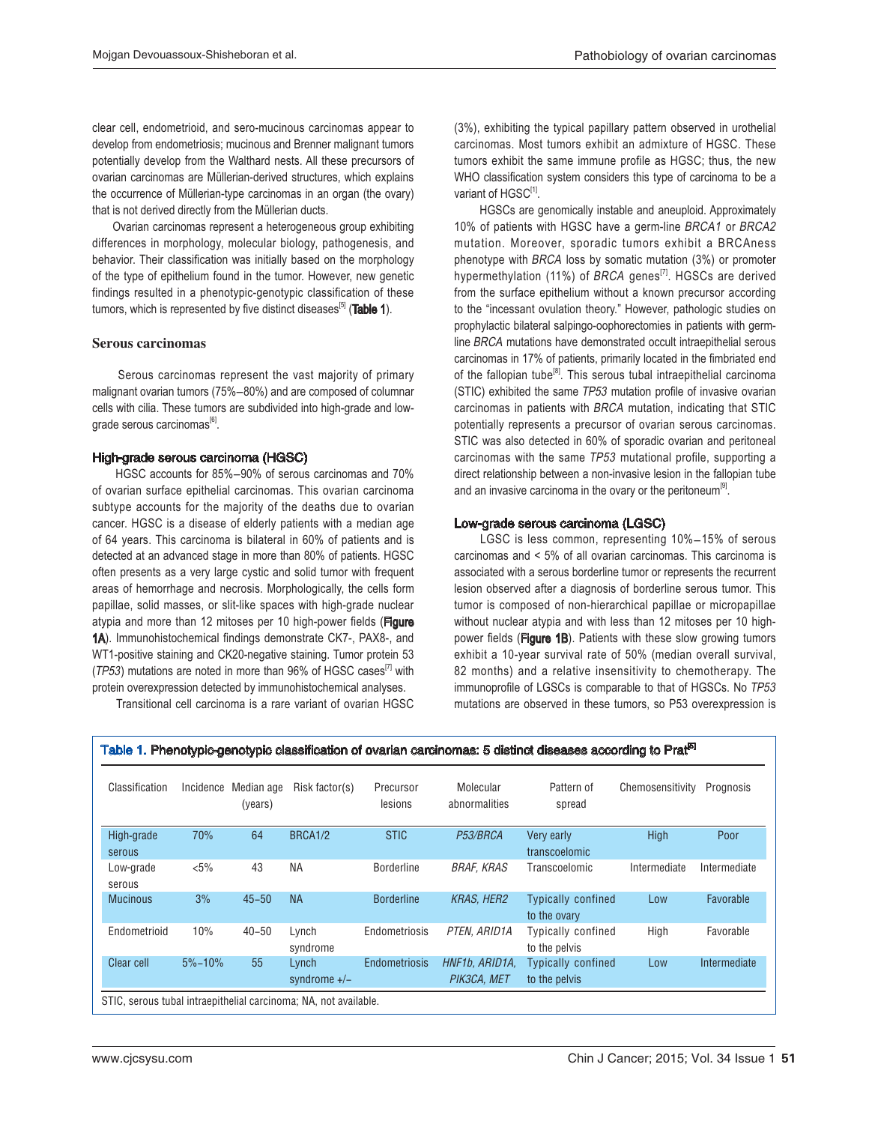clear cell, endometrioid, and sero-mucinous carcinomas appear to develop from endometriosis; mucinous and Brenner malignant tumors potentially develop from the Walthard nests. All these precursors of ovarian carcinomas are Müllerian-derived structures, which explains the occurrence of Müllerian-type carcinomas in an organ (the ovary) that is not derived directly from the Müllerian ducts.

 Ovarian carcinomas represent a heterogeneous group exhibiting differences in morphology, molecular biology, pathogenesis, and behavior. Their classification was initially based on the morphology of the type of epithelium found in the tumor. However, new genetic findings resulted in a phenotypic-genotypic classification of these tumors, which is represented by five distinct diseases<sup>[5]</sup> (Table 1).

#### Serous carcinomas

 Serous carcinomas represent the vast majority of primary malignant ovarian tumors (75%-80%) and are composed of columnar cells with cilia. These tumors are subdivided into high-grade and lowgrade serous carcinomas<sup>[6]</sup>.

#### High-grade serous carcinoma (HGSC)

HGSC accounts for 85%-90% of serous carcinomas and 70% of ovarian surface epithelial carcinomas. This ovarian carcinoma subtype accounts for the majority of the deaths due to ovarian cancer. HGSC is a disease of elderly patients with a median age of 64 years. This carcinoma is bilateral in 60% of patients and is detected at an advanced stage in more than 80% of patients. HGSC often presents as a very large cystic and solid tumor with frequent areas of hemorrhage and necrosis. Morphologically, the cells form papillae, solid masses, or slit-like spaces with high-grade nuclear atypia and more than 12 mitoses per 10 high-power fields (Figure 1A). Immunohistochemical findings demonstrate CK7-, PAX8-, and WT1-positive staining and CK20-negative staining. Tumor protein 53 ( $TP53$ ) mutations are noted in more than 96% of HGSC cases<sup>[7]</sup> with protein overexpression detected by immunohistochemical analyses.

Transitional cell carcinoma is a rare variant of ovarian HGSC

(3%), exhibiting the typical papillary pattern observed in urothelial carcinomas. Most tumors exhibit an admixture of HGSC. These tumors exhibit the same immune profile as HGSC; thus, the new WHO classification system considers this type of carcinoma to be a variant of HGSC<sup>[1]</sup>.

 HGSCs are genomically instable and aneuploid. Approximately 10% of patients with HGSC have a germ-line BRCA1 or BRCA2 mutation. Moreover, sporadic tumors exhibit a BRCAness phenotype with BRCA loss by somatic mutation (3%) or promoter hypermethylation (11%) of BRCA genes<sup>[7]</sup>. HGSCs are derived from the surface epithelium without a known precursor according to the "incessant ovulation theory." However, pathologic studies on prophylactic bilateral salpingo-oophorectomies in patients with germline BRCA mutations have demonstrated occult intraepithelial serous carcinomas in 17% of patients, primarily located in the fimbriated end of the fallopian tube<sup>[8]</sup>. This serous tubal intraepithelial carcinoma (STIC) exhibited the same TP53 mutation profile of invasive ovarian carcinomas in patients with BRCA mutation, indicating that STIC potentially represents a precursor of ovarian serous carcinomas. STIC was also detected in 60% of sporadic ovarian and peritoneal carcinomas with the same TP53 mutational profile, supporting a direct relationship between a non-invasive lesion in the fallopian tube and an invasive carcinoma in the ovary or the peritoneum<sup>[9]</sup>.

## Low-grade serous carcinoma (LGSC)

LGSC is less common, representing 10%-15% of serous carcinomas and < 5% of all ovarian carcinomas. This carcinoma is associated with a serous borderline tumor or represents the recurrent lesion observed after a diagnosis of borderline serous tumor. This tumor is composed of non-hierarchical papillae or micropapillae without nuclear atypia and with less than 12 mitoses per 10 highpower fields (Figure 1B). Patients with these slow growing tumors exhibit a 10-year survival rate of 50% (median overall survival, 82 months) and a relative insensitivity to chemotherapy. The immunoprofile of LGSCs is comparable to that of HGSCs. No TP53 mutations are observed in these tumors, so P53 overexpression is

| Classification                                                   | Incidence  | Median age<br>(years) | Risk factor(s)          | Precursor<br>lesions | Molecular<br>abnormalities    | Pattern of<br>spread                       | Chemosensitivity | Prognosis    |
|------------------------------------------------------------------|------------|-----------------------|-------------------------|----------------------|-------------------------------|--------------------------------------------|------------------|--------------|
| High-grade<br>serous                                             | 70%        | 64                    | BRCA1/2                 | <b>STIC</b>          | P53/BRCA                      | Very early<br>transcoelomic                | High             | Poor         |
| Low-grade<br>serous                                              | $< 5\%$    | 43                    | NА                      | <b>Borderline</b>    | <b>BRAF, KRAS</b>             | Transcoelomic                              | Intermediate     | Intermediate |
| <b>Mucinous</b>                                                  | 3%         | $45 - 50$             | <b>NA</b>               | <b>Borderline</b>    | <b>KRAS, HER2</b>             | <b>Typically confined</b><br>to the ovary  | Low              | Favorable    |
| Endometrioid                                                     | 10%        | $40 - 50$             | Lynch<br>syndrome       | Endometriosis        | PTEN, ARID1A                  | Typically confined<br>to the pelvis        | High             | Favorable    |
| Clear cell                                                       | $5% - 10%$ | 55                    | Lynch<br>syndrome $+/-$ | Endometriosis        | HNF1b. ARID1A.<br>PIK3CA, MET | <b>Typically confined</b><br>to the pelvis | Low              | Intermediate |
| STIC, serous tubal intraepithelial carcinoma; NA, not available. |            |                       |                         |                      |                               |                                            |                  |              |

#### Table 1. Phenotypic-genotypic classification of ovarian carcinomas: 5 distinct diseases according to Prat<sup>[5]</sup>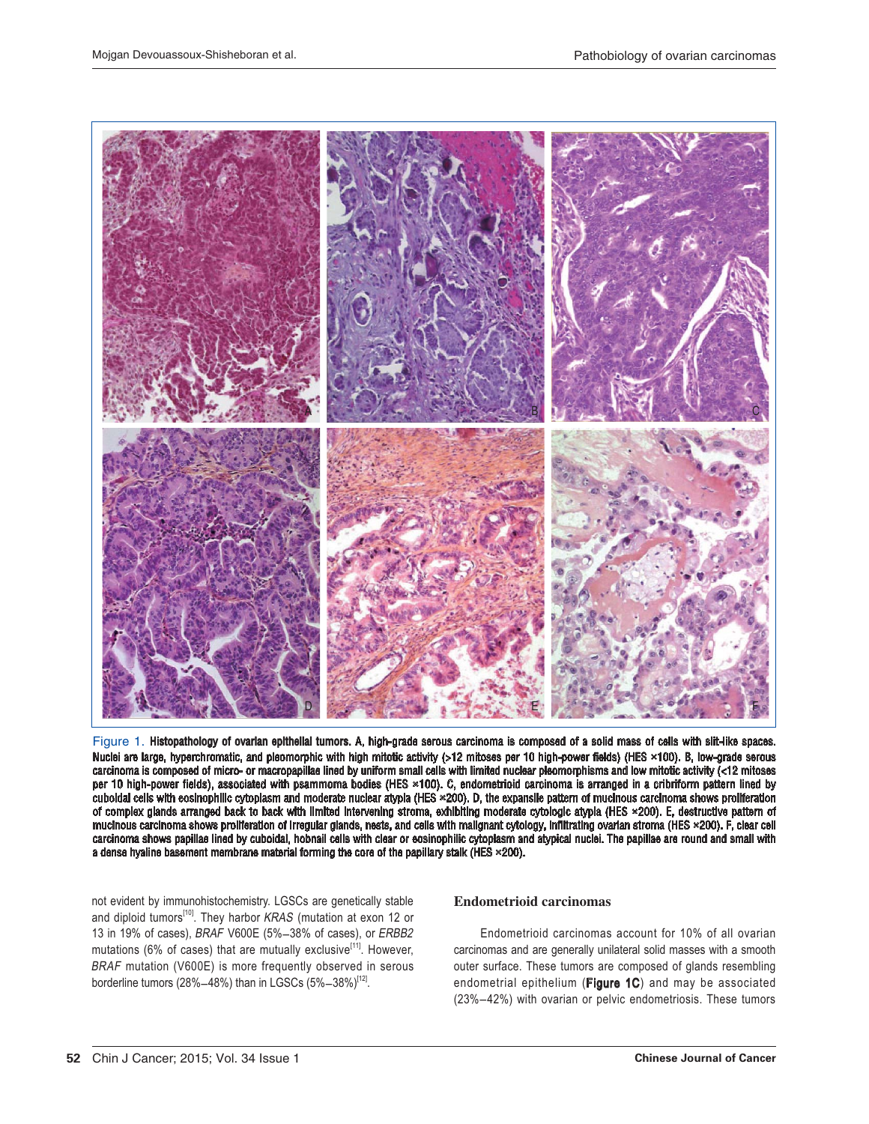

Figure 1. Histopathology of ovarian epithelial tumors. A, high-grade serous carcinoma is composed of a solid mass of cells with slit-like spaces. Nuclei are large, hyperchromatic, and pleomorphic with high mitotic activity (>12 mitoses per 10 high-power fields) (HES ×100). B, low-grade serous carcinoma is composed of micro- or macropapillae lined by uniform small cells with limited nuclear pleomorphisms and low mitotic activity (<12 mitoses per 10 high-power fields), associated with psammoma bodies (HES ×100). C, endometrioid carcinoma is arranged in a cribriform pattern lined by cuboidal cells with eosinophilic cytoplasm and moderate nuclear atypia (HES ×200). D, the expansile pattern of mucinous carcinoma shows proliferation of complex glands arranged back to back with limited intervening stroma, exhibiting moderate cytologic atypia (HES ×200). E, destructive pattern of mucinous carcinoma shows proliferation of irregular glands, nests, and cells with malignant cytology, infiltrating ovarian stroma (HES ×200). F, clear cell carcinoma shows papillae lined by cuboidal, hobnail cells with clear or eosinophilic cytoplasm and atypical nuclei. The papillae are round and small with a dense hyaline basement membrane material forming the core of the papillary stalk (HES ×200).

not evident by immunohistochemistry. LGSCs are genetically stable and diploid tumors<sup>[10]</sup>. They harbor KRAS (mutation at exon 12 or 13 in 19% of cases), BRAF V600E (5%-38% of cases), or ERBB2 mutations (6% of cases) that are mutually exclusive<sup>[11]</sup>. However, BRAF mutation (V600E) is more frequently observed in serous borderline tumors (28%-48%) than in LGSCs (5%-38%)<sup>[12]</sup>.

## **Endometrioid carcinomas**

Endometrioid carcinomas account for 10% of all ovarian carcinomas and are generally unilateral solid masses with a smooth outer surface. These tumors are composed of glands resembling endometrial epithelium (Figure 1C) and may be associated (23%-42%) with ovarian or pelvic endometriosis. These tumors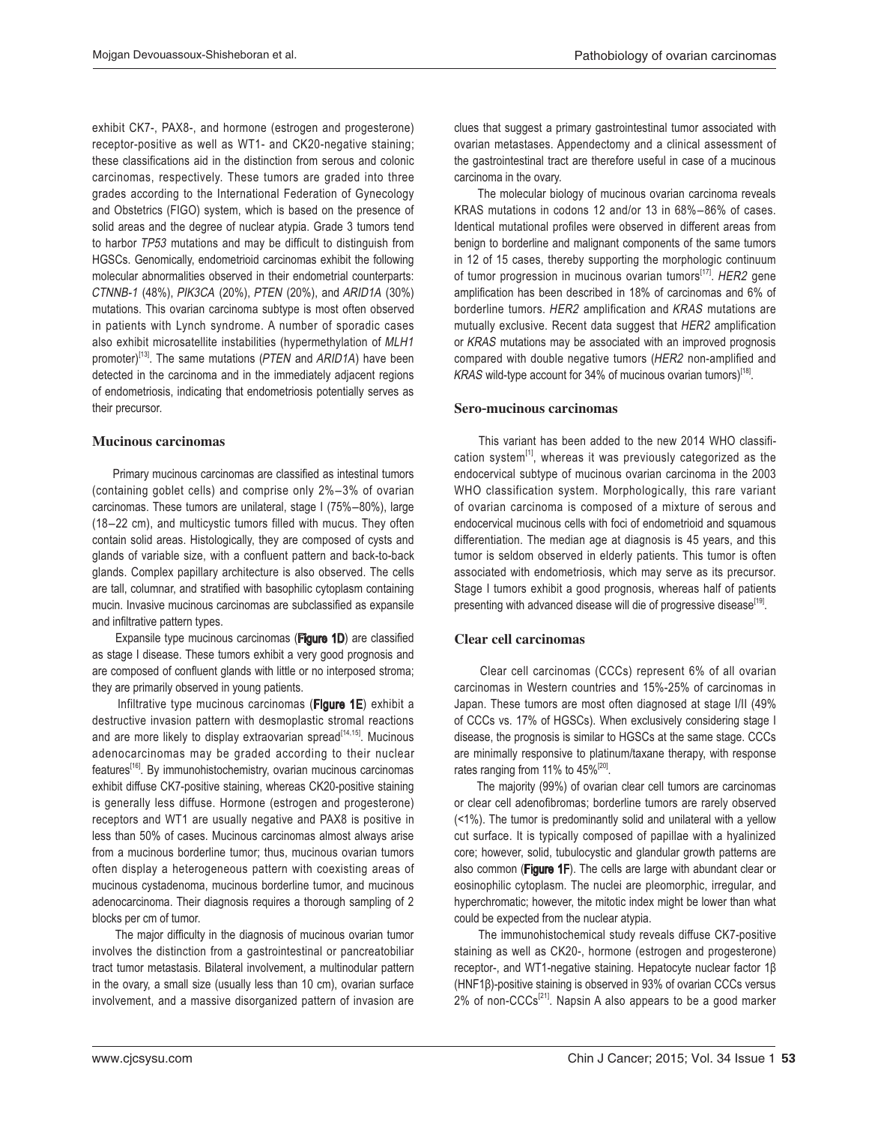exhibit CK7-, PAX8-, and hormone (estrogen and progesterone) receptor-positive as well as WT1- and CK20-negative staining; these classifications aid in the distinction from serous and colonic carcinomas, respectively. These tumors are graded into three grades according to the International Federation of Gynecology and Obstetrics (FIGO) system, which is based on the presence of solid areas and the degree of nuclear atypia. Grade 3 tumors tend to harbor TP53 mutations and may be difficult to distinguish from HGSCs. Genomically, endometrioid carcinomas exhibit the following molecular abnormalities observed in their endometrial counterparts: CTNNB-1 (48%), PIK3CA (20%), PTEN (20%), and ARID1A (30%) mutations. This ovarian carcinoma subtype is most often observed in patients with Lynch syndrome. A number of sporadic cases also exhibit microsatellite instabilities (hypermethylation of MLH1 promoter)<sup>[13]</sup>. The same mutations ( $PTEN$  and  $ARID1A$ ) have been detected in the carcinoma and in the immediately adjacent regions of endometriosis, indicating that endometriosis potentially serves as their precursor.

#### Mucinous carcinomas

Primary mucinous carcinomas are classified as intestinal tumors (containing goblet cells) and comprise only  $2\% - 3\%$  of ovarian carcinomas. These tumors are unilateral, stage I (75%-80%), large (18-22 cm), and multicystic tumors filled with mucus. They often contain solid areas. Histologically, they are composed of cysts and glands of variable size, with a confluent pattern and back-to-back glands. Complex papillary architecture is also observed. The cells are tall, columnar, and stratified with basophilic cytoplasm containing mucin. Invasive mucinous carcinomas are subclassified as expansile and infiltrative pattern types.

Expansile type mucinous carcinomas (Figure 1D) are classified as stage I disease. These tumors exhibit a very good prognosis and are composed of confluent glands with little or no interposed stroma; they are primarily observed in young patients.

 Infiltrative type mucinous carcinomas (Figure 1E) exhibit a destructive invasion pattern with desmoplastic stromal reactions and are more likely to display extraovarian spread<sup>[14,15]</sup>. Mucinous adenocarcinomas may be graded according to their nuclear features<sup>[16]</sup>. By immunohistochemistry, ovarian mucinous carcinomas exhibit diffuse CK7-positive staining, whereas CK20-positive staining is generally less diffuse. Hormone (estrogen and progesterone) receptors and WT1 are usually negative and PAX8 is positive in less than 50% of cases. Mucinous carcinomas almost always arise from a mucinous borderline tumor; thus, mucinous ovarian tumors often display a heterogeneous pattern with coexisting areas of mucinous cystadenoma, mucinous borderline tumor, and mucinous adenocarcinoma. Their diagnosis requires a thorough sampling of 2 blocks per cm of tumor.

The major difficulty in the diagnosis of mucinous ovarian tumor involves the distinction from a gastrointestinal or pancreatobiliar tract tumor metastasis. Bilateral involvement, a multinodular pattern in the ovary, a small size (usually less than 10 cm), ovarian surface involvement, and a massive disorganized pattern of invasion are

clues that suggest a primary gastrointestinal tumor associated with ovarian metastases. Appendectomy and a clinical assessment of the gastrointestinal tract are therefore useful in case of a mucinous carcinoma in the ovary.

 The molecular biology of mucinous ovarian carcinoma reveals KRAS mutations in codons 12 and/or 13 in  $68\% - 86\%$  of cases. Identical mutational profiles were observed in different areas from benign to borderline and malignant components of the same tumors in 12 of 15 cases, thereby supporting the morphologic continuum of tumor progression in mucinous ovarian tumors<sup>[17]</sup>. HER2 gene amplification has been described in 18% of carcinomas and 6% of borderline tumors. HER2 amplification and KRAS mutations are mutually exclusive. Recent data suggest that HER2 amplification or KRAS mutations may be associated with an improved prognosis compared with double negative tumors (HER2 non-amplified and KRAS wild-type account for 34% of mucinous ovarian tumors)<sup>[18]</sup>.

#### Sero-mucinous carcinomas

 This variant has been added to the new 2014 WHO classification system $^{[1]}$ , whereas it was previously categorized as the endocervical subtype of mucinous ovarian carcinoma in the 2003 WHO classification system. Morphologically, this rare variant of ovarian carcinoma is composed of a mixture of serous and endocervical mucinous cells with foci of endometrioid and squamous differentiation. The median age at diagnosis is 45 years, and this tumor is seldom observed in elderly patients. This tumor is often associated with endometriosis, which may serve as its precursor. Stage I tumors exhibit a good prognosis, whereas half of patients presenting with advanced disease will die of progressive disease<sup>[19]</sup>.

## Clear cell carcinomas

 Clear cell carcinomas (CCCs) represent 6% of all ovarian carcinomas in Western countries and 15%-25% of carcinomas in Japan. These tumors are most often diagnosed at stage I/II (49% of CCCs vs. 17% of HGSCs). When exclusively considering stage I disease, the prognosis is similar to HGSCs at the same stage. CCCs are minimally responsive to platinum/taxane therapy, with response rates ranging from 11% to 45%<sup>[20]</sup>.

 The majority (99%) of ovarian clear cell tumors are carcinomas or clear cell adenofibromas; borderline tumors are rarely observed (<1%). The tumor is predominantly solid and unilateral with a yellow cut surface. It is typically composed of papillae with a hyalinized core; however, solid, tubulocystic and glandular growth patterns are also common (Figure 1F). The cells are large with abundant clear or eosinophilic cytoplasm. The nuclei are pleomorphic, irregular, and hyperchromatic; however, the mitotic index might be lower than what could be expected from the nuclear atypia.

 The immunohistochemical study reveals diffuse CK7-positive staining as well as CK20-, hormone (estrogen and progesterone) receptor-, and WT1-negative staining. Hepatocyte nuclear factor  $1\beta$  $(HNF1\beta)$ -positive staining is observed in 93% of ovarian CCCs versus 2% of non-CCCs $^{[21]}$ . Napsin A also appears to be a good marker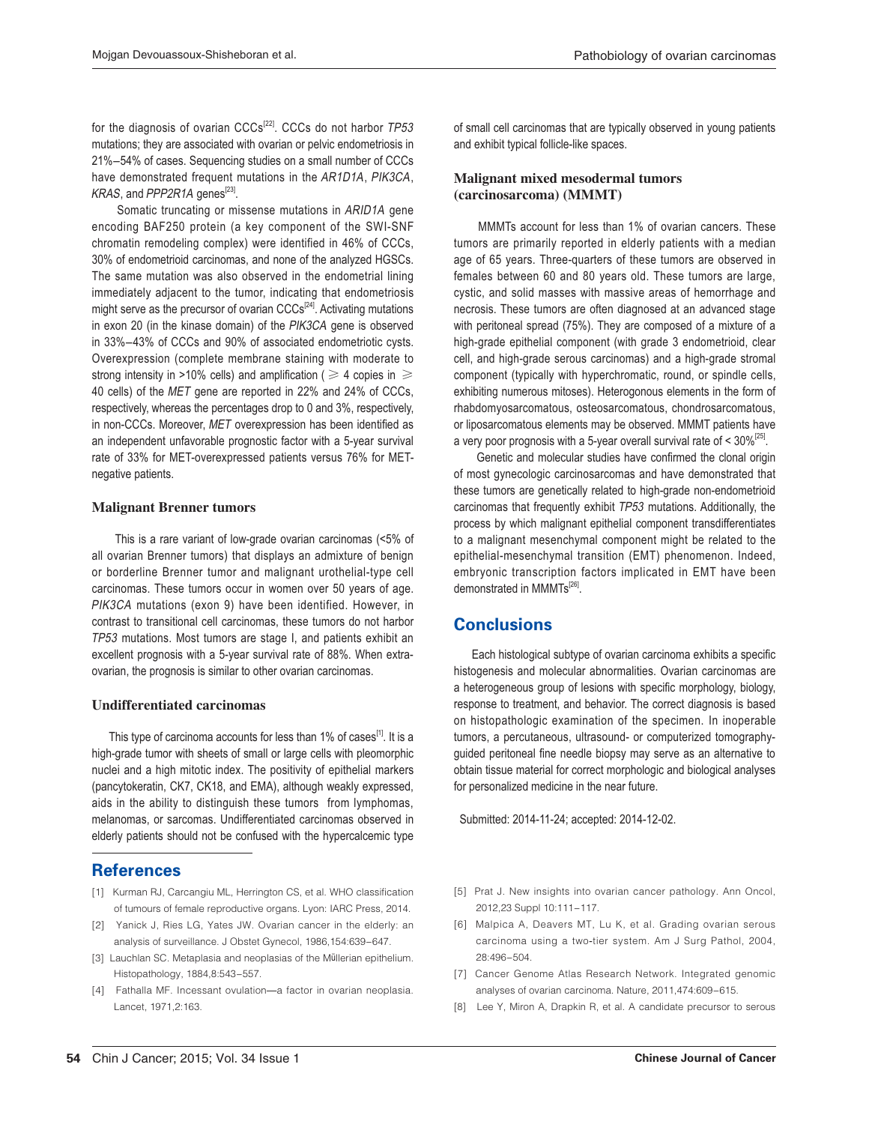for the diagnosis of ovarian  $CCCs^{[22]}$ . CCCs do not harbor  $TP53$ mutations; they are associated with ovarian or pelvic endometriosis in 21%-54% of cases. Sequencing studies on a small number of CCCs have demonstrated frequent mutations in the AR1D1A, PIK3CA, KRAS, and PPP2R1A genes<sup>[23]</sup>.

 Somatic truncating or missense mutations in ARID1A gene encoding BAF250 protein (a key component of the SWI-SNF chromatin remodeling complex) were identified in 46% of CCCs, 30% of endometrioid carcinomas, and none of the analyzed HGSCs. The same mutation was also observed in the endometrial lining immediately adjacent to the tumor, indicating that endometriosis might serve as the precursor of ovarian  $\text{CCCs}^{[24]}$ . Activating mutations in exon 20 (in the kinase domain) of the PIK3CA gene is observed in 33%-43% of CCCs and 90% of associated endometriotic cysts. Overexpression (complete membrane staining with moderate to strong intensity in >10% cells) and amplification (  $\geqslant$  4 copies in  $\,\geqslant\,$ 40 cells) of the MET gene are reported in 22% and 24% of CCCs, respectively, whereas the percentages drop to 0 and 3%, respectively, in non-CCCs. Moreover, MET overexpression has been identified as an independent unfavorable prognostic factor with a 5-year survival rate of 33% for MET-overexpressed patients versus 76% for METnegative patients.

#### **Malignant Brenner tumors**

 This is a rare variant of low-grade ovarian carcinomas (<5% of all ovarian Brenner tumors) that displays an admixture of benign or borderline Brenner tumor and malignant urothelial-type cell carcinomas. These tumors occur in women over 50 years of age. PIK3CA mutations (exon 9) have been identified. However, in contrast to transitional cell carcinomas, these tumors do not harbor TP53 mutations. Most tumors are stage I, and patients exhibit an excellent prognosis with a 5-year survival rate of 88%. When extraovarian, the prognosis is similar to other ovarian carcinomas.

#### Undifferentiated carcinomas

This type of carcinoma accounts for less than 1% of cases<sup>[1]</sup>. It is a high-grade tumor with sheets of small or large cells with pleomorphic nuclei and a high mitotic index. The positivity of epithelial markers (pancytokeratin, CK7, CK18, and EMA), although weakly expressed, aids in the ability to distinguish these tumors from lymphomas, melanomas, or sarcomas. Undifferentiated carcinomas observed in elderly patients should not be confused with the hypercalcemic type

# **References**

- [1] Kurman RJ, Carcangiu ML, Herrington CS, et al. WHO classification of tumours of female reproductive organs. Lyon: IARC Press, 2014.
- [2] Yanick J, Ries LG, Yates JW. Ovarian cancer in the elderly: an analysis of surveillance. J Obstet Gynecol, 1986, 154: 639-647.
- [3] Lauchlan SC. Metaplasia and neoplasias of the Müllerian epithelium. Histopathology, 1884,8:543-557.
- [4] Fathalla MF. Incessant ovulation-a factor in ovarian neoplasia. Lancet, 1971,2:163.

of small cell carcinomas that are typically observed in young patients and exhibit typical follicle-like spaces.

## Malignant mixed mesodermal tumors (carcinosarcoma) (MMMT)

 MMMTs account for less than 1% of ovarian cancers. These tumors are primarily reported in elderly patients with a median age of 65 years. Three-quarters of these tumors are observed in females between 60 and 80 years old. These tumors are large, cystic, and solid masses with massive areas of hemorrhage and necrosis. These tumors are often diagnosed at an advanced stage with peritoneal spread (75%). They are composed of a mixture of a high-grade epithelial component (with grade 3 endometrioid, clear cell, and high-grade serous carcinomas) and a high-grade stromal component (typically with hyperchromatic, round, or spindle cells, exhibiting numerous mitoses). Heterogonous elements in the form of rhabdomyosarcomatous, osteosarcomatous, chondrosarcomatous, or liposarcomatous elements may be observed. MMMT patients have a very poor prognosis with a 5-year overall survival rate of  $<$  30%<sup>[25]</sup>.

Genetic and molecular studies have confirmed the clonal origin of most gynecologic carcinosarcomas and have demonstrated that these tumors are genetically related to high-grade non-endometrioid carcinomas that frequently exhibit TP53 mutations. Additionally, the process by which malignant epithelial component transdifferentiates to a malignant mesenchymal component might be related to the epithelial-mesenchymal transition (EMT) phenomenon. Indeed, embryonic transcription factors implicated in EMT have been demonstrated in MMMTs<sup>[26]</sup>.

# **Conclusions**

Each histological subtype of ovarian carcinoma exhibits a specific histogenesis and molecular abnormalities. Ovarian carcinomas are a heterogeneous group of lesions with specific morphology, biology, response to treatment, and behavior. The correct diagnosis is based on histopathologic examination of the specimen. In inoperable tumors, a percutaneous, ultrasound- or computerized tomography guided peritoneal fine needle biopsy may serve as an alternative to obtain tissue material for correct morphologic and biological analyses for personalized medicine in the near future.

Submitted: 2014-11-24; accepted: 2014-12-02.

- [5] Prat J. New insights into ovarian cancer pathology. Ann Oncol, 2012,23 Suppl 10:111-117.
- [6] Malpica A, Deavers MT, Lu K, et al. Grading ovarian serous carcinoma using a two-tier system. Am J Surg Pathol, 2004, 28:496-504.
- [7] Cancer Genome Atlas Research Network. Integrated genomic analyses of ovarian carcinoma. Nature, 2011,474:609-615.
- [8] Lee Y, Miron A, Drapkin R, et al. A candidate precursor to serous